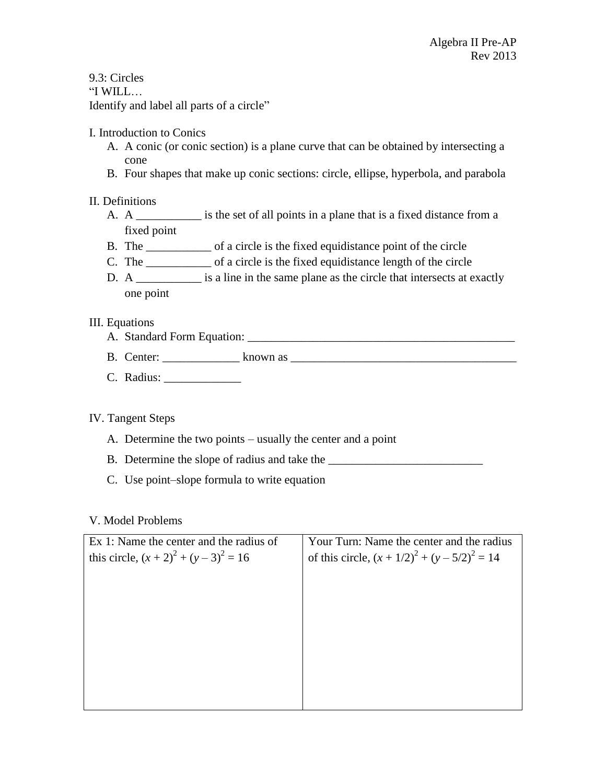9.3: Circles "I WILL… Identify and label all parts of a circle"

# I. Introduction to Conics

- A. A conic (or conic section) is a plane curve that can be obtained by intersecting a cone
- B. Four shapes that make up conic sections: circle, ellipse, hyperbola, and parabola

# II. Definitions

- A. A \_\_\_\_\_\_\_\_\_\_\_ is the set of all points in a plane that is a fixed distance from a fixed point
- B. The of a circle is the fixed equidistance point of the circle
- C. The of a circle is the fixed equidistance length of the circle
- D. A \_\_\_\_\_\_\_\_\_\_\_ is a line in the same plane as the circle that intersects at exactly one point

### III. Equations

- A. Standard Form Equation: \_\_\_\_\_\_\_\_\_\_\_\_\_\_\_\_\_\_\_\_\_\_\_\_\_\_\_\_\_\_\_\_\_\_\_\_\_\_\_\_\_\_\_\_\_
- B. Center: \_\_\_\_\_\_\_\_\_\_\_\_\_ known as \_\_\_\_\_\_\_\_\_\_\_\_\_\_\_\_\_\_\_\_\_\_\_\_\_\_\_\_\_\_\_\_\_\_\_\_\_\_
- C. Radius: \_\_\_\_\_\_\_\_\_\_\_\_\_

# IV. Tangent Steps

- A. Determine the two points usually the center and a point
- B. Determine the slope of radius and take the \_\_\_\_\_\_\_\_\_\_\_\_\_\_\_\_\_\_\_\_\_\_\_\_\_\_
- C. Use point–slope formula to write equation

#### V. Model Problems

| Ex 1: Name the center and the radius of       | Your Turn: Name the center and the radius        |
|-----------------------------------------------|--------------------------------------------------|
| this circle, $(x + 2)^{2} + (y - 3)^{2} = 16$ | of this circle, $(x + 1/2)^2 + (y - 5/2)^2 = 14$ |
|                                               |                                                  |
|                                               |                                                  |
|                                               |                                                  |
|                                               |                                                  |
|                                               |                                                  |
|                                               |                                                  |
|                                               |                                                  |
|                                               |                                                  |
|                                               |                                                  |
|                                               |                                                  |